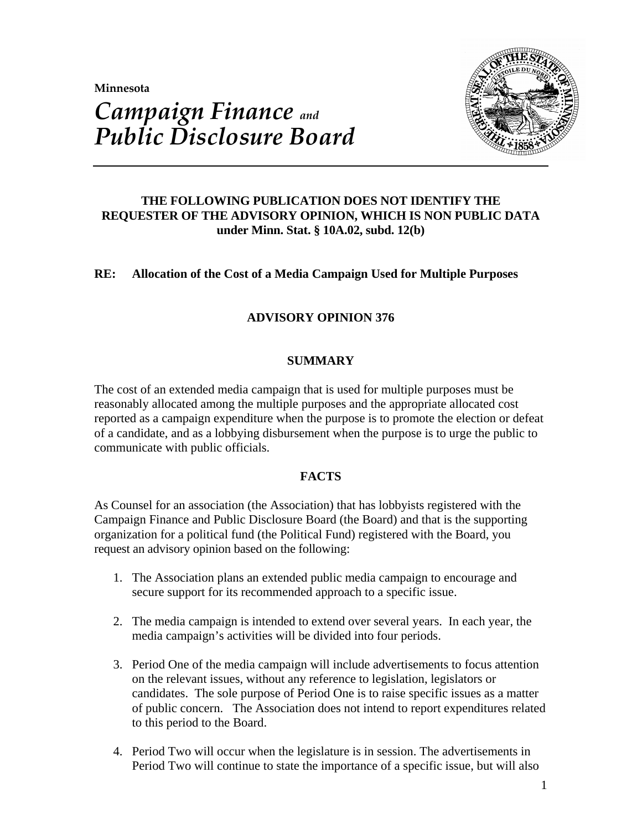**Minnesota** 



# *Campaign Finance and Public Disclosure Board*

# **THE FOLLOWING PUBLICATION DOES NOT IDENTIFY THE REQUESTER OF THE ADVISORY OPINION, WHICH IS NON PUBLIC DATA under Minn. Stat. § 10A.02, subd. 12(b)**

# **RE: Allocation of the Cost of a Media Campaign Used for Multiple Purposes**

# **ADVISORY OPINION 376**

# **SUMMARY**

The cost of an extended media campaign that is used for multiple purposes must be reasonably allocated among the multiple purposes and the appropriate allocated cost reported as a campaign expenditure when the purpose is to promote the election or defeat of a candidate, and as a lobbying disbursement when the purpose is to urge the public to communicate with public officials.

# **FACTS**

As Counsel for an association (the Association) that has lobbyists registered with the Campaign Finance and Public Disclosure Board (the Board) and that is the supporting organization for a political fund (the Political Fund) registered with the Board, you request an advisory opinion based on the following:

- 1. The Association plans an extended public media campaign to encourage and secure support for its recommended approach to a specific issue.
- 2. The media campaign is intended to extend over several years. In each year, the media campaign's activities will be divided into four periods.
- 3. Period One of the media campaign will include advertisements to focus attention on the relevant issues, without any reference to legislation, legislators or candidates. The sole purpose of Period One is to raise specific issues as a matter of public concern. The Association does not intend to report expenditures related to this period to the Board.
- 4. Period Two will occur when the legislature is in session. The advertisements in Period Two will continue to state the importance of a specific issue, but will also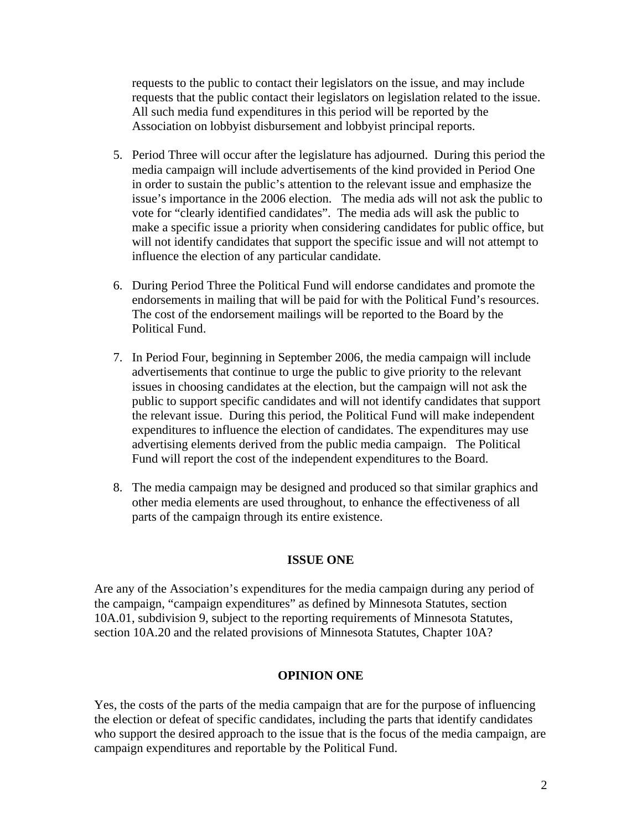requests to the public to contact their legislators on the issue, and may include requests that the public contact their legislators on legislation related to the issue. All such media fund expenditures in this period will be reported by the Association on lobbyist disbursement and lobbyist principal reports.

- 5. Period Three will occur after the legislature has adjourned. During this period the media campaign will include advertisements of the kind provided in Period One in order to sustain the public's attention to the relevant issue and emphasize the issue's importance in the 2006 election. The media ads will not ask the public to vote for "clearly identified candidates". The media ads will ask the public to make a specific issue a priority when considering candidates for public office, but will not identify candidates that support the specific issue and will not attempt to influence the election of any particular candidate.
- 6. During Period Three the Political Fund will endorse candidates and promote the endorsements in mailing that will be paid for with the Political Fund's resources. The cost of the endorsement mailings will be reported to the Board by the Political Fund.
- 7. In Period Four, beginning in September 2006, the media campaign will include advertisements that continue to urge the public to give priority to the relevant issues in choosing candidates at the election, but the campaign will not ask the public to support specific candidates and will not identify candidates that support the relevant issue. During this period, the Political Fund will make independent expenditures to influence the election of candidates. The expenditures may use advertising elements derived from the public media campaign. The Political Fund will report the cost of the independent expenditures to the Board.
- 8. The media campaign may be designed and produced so that similar graphics and other media elements are used throughout, to enhance the effectiveness of all parts of the campaign through its entire existence.

## **ISSUE ONE**

Are any of the Association's expenditures for the media campaign during any period of the campaign, "campaign expenditures" as defined by Minnesota Statutes, section 10A.01, subdivision 9, subject to the reporting requirements of Minnesota Statutes, section 10A.20 and the related provisions of Minnesota Statutes, Chapter 10A?

#### **OPINION ONE**

Yes, the costs of the parts of the media campaign that are for the purpose of influencing the election or defeat of specific candidates, including the parts that identify candidates who support the desired approach to the issue that is the focus of the media campaign, are campaign expenditures and reportable by the Political Fund.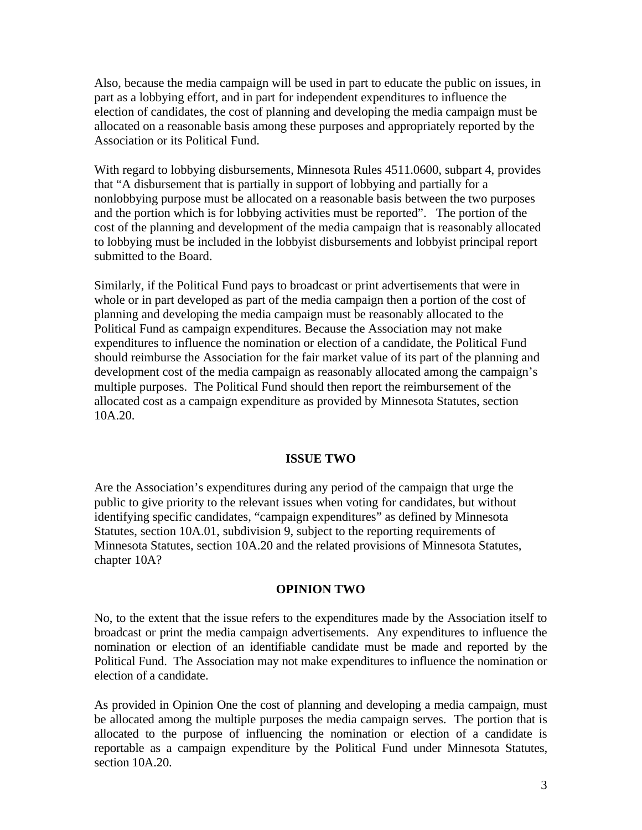Also, because the media campaign will be used in part to educate the public on issues, in part as a lobbying effort, and in part for independent expenditures to influence the election of candidates, the cost of planning and developing the media campaign must be allocated on a reasonable basis among these purposes and appropriately reported by the Association or its Political Fund.

With regard to lobbying disbursements, Minnesota Rules 4511.0600, subpart 4, provides that "A disbursement that is partially in support of lobbying and partially for a nonlobbying purpose must be allocated on a reasonable basis between the two purposes and the portion which is for lobbying activities must be reported". The portion of the cost of the planning and development of the media campaign that is reasonably allocated to lobbying must be included in the lobbyist disbursements and lobbyist principal report submitted to the Board.

Similarly, if the Political Fund pays to broadcast or print advertisements that were in whole or in part developed as part of the media campaign then a portion of the cost of planning and developing the media campaign must be reasonably allocated to the Political Fund as campaign expenditures. Because the Association may not make expenditures to influence the nomination or election of a candidate, the Political Fund should reimburse the Association for the fair market value of its part of the planning and development cost of the media campaign as reasonably allocated among the campaign's multiple purposes. The Political Fund should then report the reimbursement of the allocated cost as a campaign expenditure as provided by Minnesota Statutes, section 10A.20.

#### **ISSUE TWO**

Are the Association's expenditures during any period of the campaign that urge the public to give priority to the relevant issues when voting for candidates, but without identifying specific candidates, "campaign expenditures" as defined by Minnesota Statutes, section 10A.01, subdivision 9, subject to the reporting requirements of Minnesota Statutes, section 10A.20 and the related provisions of Minnesota Statutes, chapter 10A?

#### **OPINION TWO**

No, to the extent that the issue refers to the expenditures made by the Association itself to broadcast or print the media campaign advertisements. Any expenditures to influence the nomination or election of an identifiable candidate must be made and reported by the Political Fund. The Association may not make expenditures to influence the nomination or election of a candidate.

As provided in Opinion One the cost of planning and developing a media campaign, must be allocated among the multiple purposes the media campaign serves. The portion that is allocated to the purpose of influencing the nomination or election of a candidate is reportable as a campaign expenditure by the Political Fund under Minnesota Statutes, section 10A.20.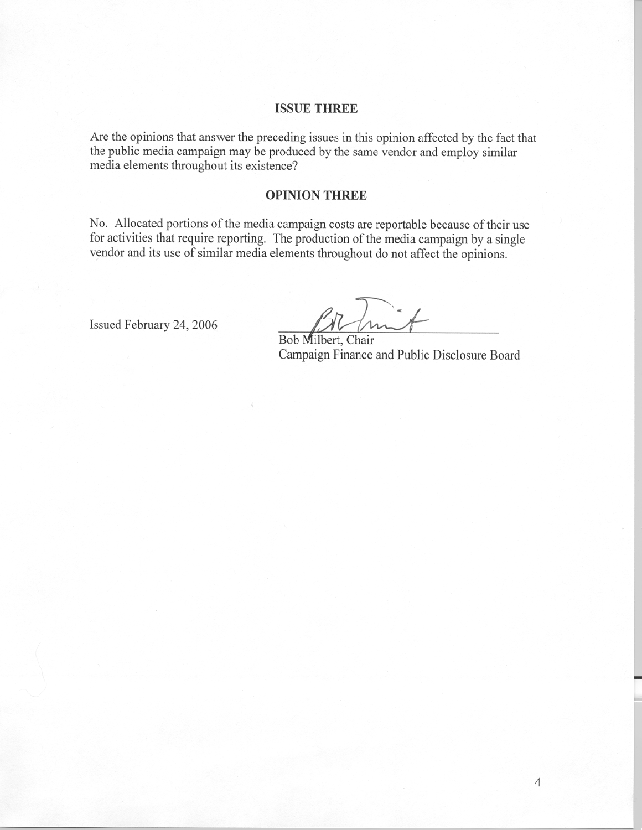#### **ISSUE THREE**

Are the opinions that answer the preceding issues in this opinion affected by the fact that the public media campaign may be produced by the same vendor and employ similar media elements throughout its existence?

#### **OPINION THREE**

No. Allocated portions of the media campaign costs are reportable because of their use for activities that require reporting. The production of the media campaign by a single vendor and its use of similar media elements throughout do not affect the opinions.

Issued February 24, 2006

Imit

Bob Milbert, Chair Campaign Finance and Public Disclosure Board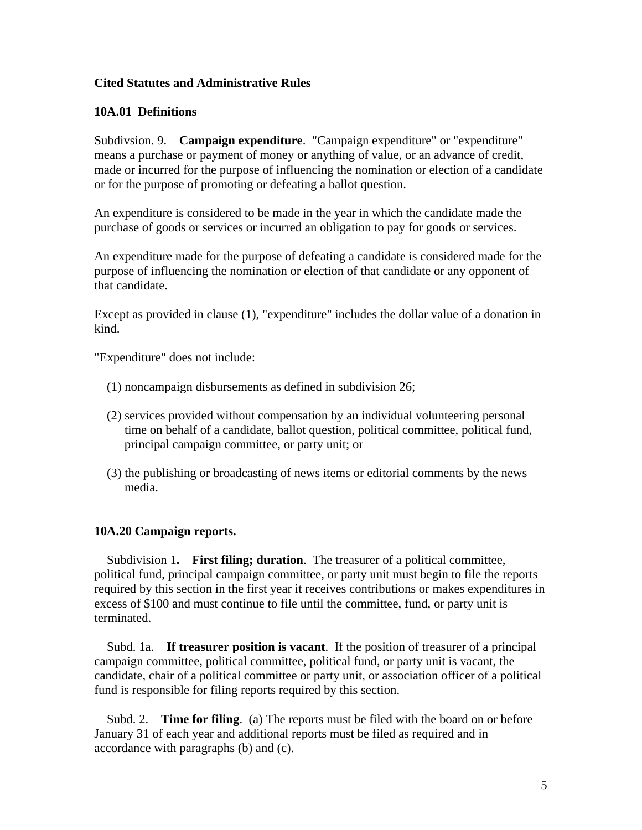## **Cited Statutes and Administrative Rules**

## **10A.01 Definitions**

Subdivsion. 9. **Campaign expenditure**. "Campaign expenditure" or "expenditure" means a purchase or payment of money or anything of value, or an advance of credit, made or incurred for the purpose of influencing the nomination or election of a candidate or for the purpose of promoting or defeating a ballot question.

An expenditure is considered to be made in the year in which the candidate made the purchase of goods or services or incurred an obligation to pay for goods or services.

An expenditure made for the purpose of defeating a candidate is considered made for the purpose of influencing the nomination or election of that candidate or any opponent of that candidate.

Except as provided in clause (1), "expenditure" includes the dollar value of a donation in kind.

"Expenditure" does not include:

- (1) noncampaign disbursements as defined in subdivision 26;
- (2) services provided without compensation by an individual volunteering personal time on behalf of a candidate, ballot question, political committee, political fund, principal campaign committee, or party unit; or
- (3) the publishing or broadcasting of news items or editorial comments by the news media.

## **10A.20 Campaign reports.**

 Subdivision 1**. First filing; duration**. The treasurer of a political committee, political fund, principal campaign committee, or party unit must begin to file the reports required by this section in the first year it receives contributions or makes expenditures in excess of \$100 and must continue to file until the committee, fund, or party unit is terminated.

 Subd. 1a. **If treasurer position is vacant**. If the position of treasurer of a principal campaign committee, political committee, political fund, or party unit is vacant, the candidate, chair of a political committee or party unit, or association officer of a political fund is responsible for filing reports required by this section.

 Subd. 2. **Time for filing**. (a) The reports must be filed with the board on or before January 31 of each year and additional reports must be filed as required and in accordance with paragraphs (b) and (c).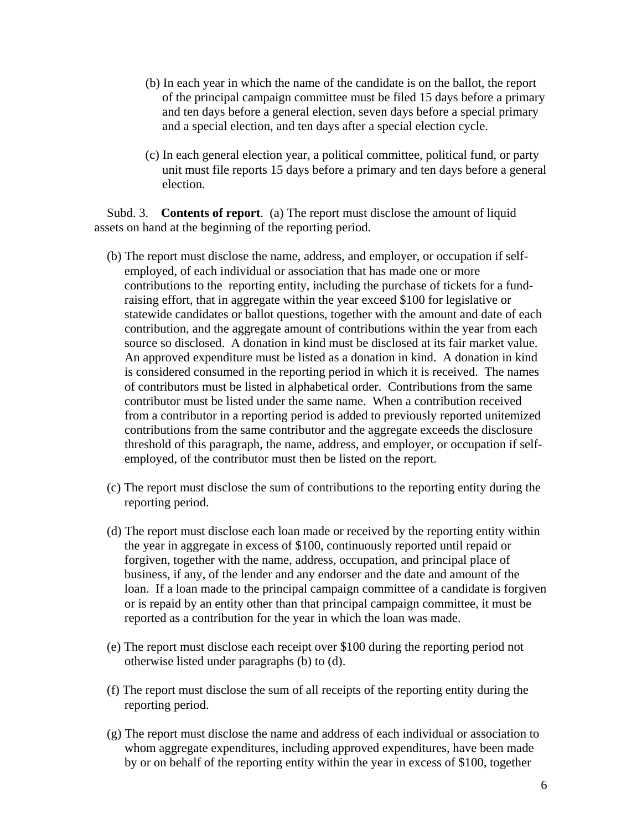- (b) In each year in which the name of the candidate is on the ballot, the report of the principal campaign committee must be filed 15 days before a primary and ten days before a general election, seven days before a special primary and a special election, and ten days after a special election cycle.
- (c) In each general election year, a political committee, political fund, or party unit must file reports 15 days before a primary and ten days before a general election.

 Subd. 3. **Contents of report**. (a) The report must disclose the amount of liquid assets on hand at the beginning of the reporting period.

- (b) The report must disclose the name, address, and employer, or occupation if selfemployed, of each individual or association that has made one or more contributions to the reporting entity, including the purchase of tickets for a fundraising effort, that in aggregate within the year exceed \$100 for legislative or statewide candidates or ballot questions, together with the amount and date of each contribution, and the aggregate amount of contributions within the year from each source so disclosed. A donation in kind must be disclosed at its fair market value. An approved expenditure must be listed as a donation in kind. A donation in kind is considered consumed in the reporting period in which it is received. The names of contributors must be listed in alphabetical order. Contributions from the same contributor must be listed under the same name. When a contribution received from a contributor in a reporting period is added to previously reported unitemized contributions from the same contributor and the aggregate exceeds the disclosure threshold of this paragraph, the name, address, and employer, or occupation if selfemployed, of the contributor must then be listed on the report.
- (c) The report must disclose the sum of contributions to the reporting entity during the reporting period.
- (d) The report must disclose each loan made or received by the reporting entity within the year in aggregate in excess of \$100, continuously reported until repaid or forgiven, together with the name, address, occupation, and principal place of business, if any, of the lender and any endorser and the date and amount of the loan. If a loan made to the principal campaign committee of a candidate is forgiven or is repaid by an entity other than that principal campaign committee, it must be reported as a contribution for the year in which the loan was made.
- (e) The report must disclose each receipt over \$100 during the reporting period not otherwise listed under paragraphs (b) to (d).
- (f) The report must disclose the sum of all receipts of the reporting entity during the reporting period.
- (g) The report must disclose the name and address of each individual or association to whom aggregate expenditures, including approved expenditures, have been made by or on behalf of the reporting entity within the year in excess of \$100, together